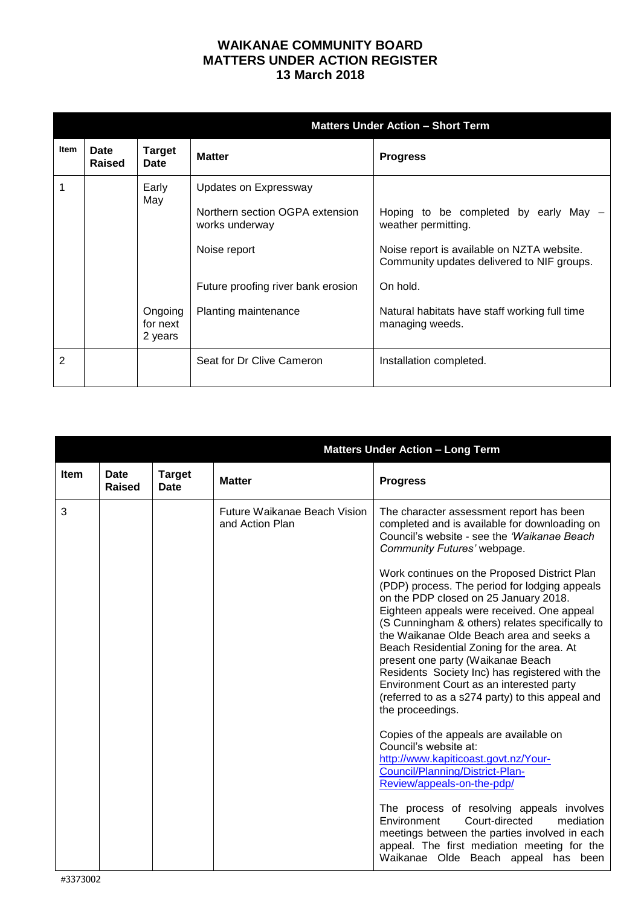## **WAIKANAE COMMUNITY BOARD MATTERS UNDER ACTION REGISTER 13 March 2018**

|      |                       |                                | <b>Matters Under Action - Short Term</b>                                                   |                                                                                                            |  |
|------|-----------------------|--------------------------------|--------------------------------------------------------------------------------------------|------------------------------------------------------------------------------------------------------------|--|
| Item | <b>Date</b><br>Raised | <b>Target</b><br><b>Date</b>   | <b>Matter</b>                                                                              | <b>Progress</b>                                                                                            |  |
|      |                       | Early<br>May                   | Updates on Expressway<br>Northern section OGPA extension<br>works underway<br>Noise report | Hoping to be completed by early May -<br>weather permitting.<br>Noise report is available on NZTA website. |  |
|      |                       |                                | Future proofing river bank erosion                                                         | Community updates delivered to NIF groups.<br>On hold.                                                     |  |
|      |                       | Ongoing<br>for next<br>2 years | Planting maintenance                                                                       | Natural habitats have staff working full time<br>managing weeds.                                           |  |
| 2    |                       |                                | Seat for Dr Clive Cameron                                                                  | Installation completed.                                                                                    |  |

|             |                | <b>Matters Under Action - Long Term</b> |                                                        |                                                                                                                                                                                                                                                                                                                                                                                                                                                                                                                                                                                                                                                                                                                                                                                                                                                                      |
|-------------|----------------|-----------------------------------------|--------------------------------------------------------|----------------------------------------------------------------------------------------------------------------------------------------------------------------------------------------------------------------------------------------------------------------------------------------------------------------------------------------------------------------------------------------------------------------------------------------------------------------------------------------------------------------------------------------------------------------------------------------------------------------------------------------------------------------------------------------------------------------------------------------------------------------------------------------------------------------------------------------------------------------------|
| <b>Item</b> | Date<br>Raised | <b>Target</b><br>Date                   | <b>Matter</b>                                          | <b>Progress</b>                                                                                                                                                                                                                                                                                                                                                                                                                                                                                                                                                                                                                                                                                                                                                                                                                                                      |
| 3           |                |                                         | <b>Future Waikanae Beach Vision</b><br>and Action Plan | The character assessment report has been<br>completed and is available for downloading on<br>Council's website - see the 'Waikanae Beach<br>Community Futures' webpage.<br>Work continues on the Proposed District Plan<br>(PDP) process. The period for lodging appeals<br>on the PDP closed on 25 January 2018.<br>Eighteen appeals were received. One appeal<br>(S Cunningham & others) relates specifically to<br>the Waikanae Olde Beach area and seeks a<br>Beach Residential Zoning for the area. At<br>present one party (Waikanae Beach<br>Residents Society Inc) has registered with the<br>Environment Court as an interested party<br>(referred to as a s274 party) to this appeal and<br>the proceedings.<br>Copies of the appeals are available on<br>Council's website at:<br>http://www.kapiticoast.govt.nz/Your-<br>Council/Planning/District-Plan- |
|             |                |                                         |                                                        | Review/appeals-on-the-pdp/                                                                                                                                                                                                                                                                                                                                                                                                                                                                                                                                                                                                                                                                                                                                                                                                                                           |
|             |                |                                         |                                                        | The process of resolving appeals involves<br>Environment<br>Court-directed<br>mediation<br>meetings between the parties involved in each<br>appeal. The first mediation meeting for the<br>Waikanae Olde Beach appeal has been                                                                                                                                                                                                                                                                                                                                                                                                                                                                                                                                                                                                                                       |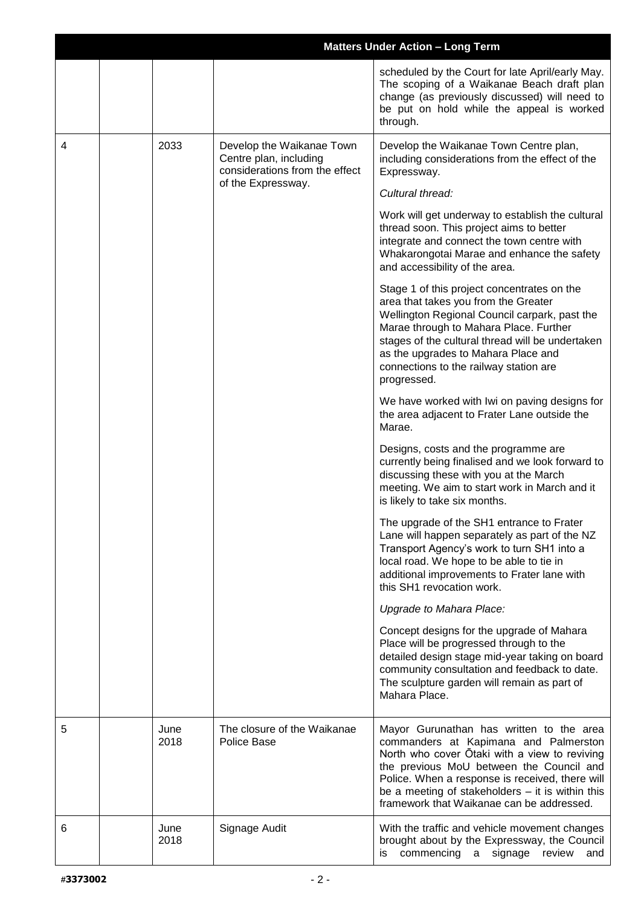|   |              |                                                                                                             | <b>Matters Under Action - Long Term</b>                                                                                                                                                                                                                                                                                              |
|---|--------------|-------------------------------------------------------------------------------------------------------------|--------------------------------------------------------------------------------------------------------------------------------------------------------------------------------------------------------------------------------------------------------------------------------------------------------------------------------------|
|   |              |                                                                                                             | scheduled by the Court for late April/early May.<br>The scoping of a Waikanae Beach draft plan<br>change (as previously discussed) will need to<br>be put on hold while the appeal is worked<br>through.                                                                                                                             |
| 4 | 2033         | Develop the Waikanae Town<br>Centre plan, including<br>considerations from the effect<br>of the Expressway. | Develop the Waikanae Town Centre plan,<br>including considerations from the effect of the<br>Expressway.                                                                                                                                                                                                                             |
|   |              |                                                                                                             | Cultural thread:                                                                                                                                                                                                                                                                                                                     |
|   |              |                                                                                                             | Work will get underway to establish the cultural<br>thread soon. This project aims to better<br>integrate and connect the town centre with<br>Whakarongotai Marae and enhance the safety<br>and accessibility of the area.                                                                                                           |
|   |              |                                                                                                             | Stage 1 of this project concentrates on the<br>area that takes you from the Greater<br>Wellington Regional Council carpark, past the<br>Marae through to Mahara Place. Further<br>stages of the cultural thread will be undertaken<br>as the upgrades to Mahara Place and<br>connections to the railway station are<br>progressed.   |
|   |              |                                                                                                             | We have worked with Iwi on paving designs for<br>the area adjacent to Frater Lane outside the<br>Marae.                                                                                                                                                                                                                              |
|   |              |                                                                                                             | Designs, costs and the programme are<br>currently being finalised and we look forward to<br>discussing these with you at the March<br>meeting. We aim to start work in March and it<br>is likely to take six months.                                                                                                                 |
|   |              |                                                                                                             | The upgrade of the SH1 entrance to Frater<br>Lane will happen separately as part of the NZ<br>Transport Agency's work to turn SH1 into a<br>local road. We hope to be able to tie in<br>additional improvements to Frater lane with<br>this SH1 revocation work.                                                                     |
|   |              |                                                                                                             | Upgrade to Mahara Place:                                                                                                                                                                                                                                                                                                             |
|   |              |                                                                                                             | Concept designs for the upgrade of Mahara<br>Place will be progressed through to the<br>detailed design stage mid-year taking on board<br>community consultation and feedback to date.<br>The sculpture garden will remain as part of<br>Mahara Place.                                                                               |
| 5 | June<br>2018 | The closure of the Waikanae<br>Police Base                                                                  | Mayor Gurunathan has written to the area<br>commanders at Kapimana and Palmerston<br>North who cover Otaki with a view to reviving<br>the previous MoU between the Council and<br>Police. When a response is received, there will<br>be a meeting of stakeholders $-$ it is within this<br>framework that Waikanae can be addressed. |
| 6 | June<br>2018 | Signage Audit                                                                                               | With the traffic and vehicle movement changes<br>brought about by the Expressway, the Council<br>commencing a signage review and<br>is                                                                                                                                                                                               |